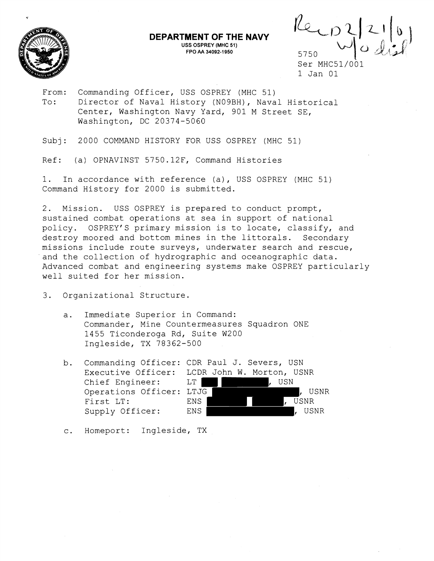

## **DEPARTMENT OF THE NAVY USS OSPREY (MHC 51) FPO M 34092-1 950**

5750

Ser MHC51/001 1 Jan 01

From: Commanding Officer, USS OSPREY (MHC 51) To: Director of Naval History (NOgBH), Naval Historical Center, Washington Navy Yard, 901 M Street SE, Washington, DC 20374-5060

Subj: 2000 COMMAND HISTORY FOR USS OSPREY (MHC 51)

Ref: (a) OPNAVINST 5750.12F, Command Histories

1. In accordance with reference (a), USS OSPREY (MHC 51) Command History for 2000 is submitted.

2. Mission. USS OSPREY is prepared to conduct prompt, sustained combat operations at sea in support of national policy. OSPREY'S primary mission is to locate, classify, and destroy moored and bottom mines in the littorals. Secondary missions include route surveys, underwater search and rescue, and the collection of hydrographic and oceanographic data. Advanced combat and engineering systems make OSPREY particularly well suited for her mission.

3. Organizational Structure.

- a. Immediate Superior in Command: Commander, Mine Countermeasures Squadron ONE 1455 Ticonderoga Rd, Suite W20.0 Ingleside, TX 78362-500
- b. Commanding Officer: CDR Paul J. Severs, USN Executive Officer: LCDR John W. Morton, USNR Chief Engineer: LT , USN Operations Officer: LTJG | The Manuson of Allen Control of Allen Control of Allen Control of Allen Control of A First LT: ENS RESOURCE: Supply Officer: ENS , USNR

c. Homeport: Ingleside, TX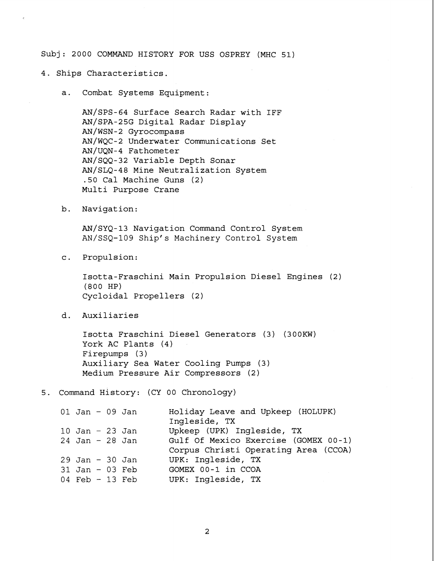Subj : 2000 COMMAND HISTORY FOR USS OSPREY (MHC 51)

4. Ships Characteristics.

a. Combat Systems Equipment:

AN/SPS-64 Surface Search Radar with IFF AN/SPA-25G Digital Radar Display AN/wSN-2 Gyrocompass AN/WQC-2 Underwater Communications Set AN/UQN-4 Fathometer AN/SQQ-32 Variable Depth Sonar AN/SLQ-48 Mine Neutralization System .50 Cal Machine Guns (2) Multi Purpose Crane

b. Navigation:

AN/SYQ-13 Navigation Command Control System AN/SSQ-109 Ship's Machinery Control System

c. Propulsion:

Isotta-Fraschini Main Propulsion Diesel Engines (2) (800 HP) Cycloidal Propellers (2)

d. Auxiliaries

Isotta Fraschini Diesel Generators (3) (300KW) York AC Plants (4) Firepumps (3) Auxiliary Sea Water Cooling Pumps (3) Medium Pressure Air Compressors (2)

5. Command History: (CY 00 Chronology)

| $01$ Jan - 09 Jan |  | Holiday Leave and Upkeep (HOLUPK)<br>Ingleside, TX |
|-------------------|--|----------------------------------------------------|
| $10$ Jan - 23 Jan |  | Upkeep (UPK) Ingleside, TX                         |
| $24$ Jan - 28 Jan |  | Gulf Of Mexico Exercise (GOMEX 00-1)               |
|                   |  | Corpus Christi Operating Area (CCOA)               |
| $29$ Jan - 30 Jan |  | UPK: Ingleside, TX                                 |
| $31$ Jan - 03 Feb |  | GOMEX 00-1 in CCOA                                 |
| 04 Feb $-13$ Feb  |  | UPK: Ingleside, TX                                 |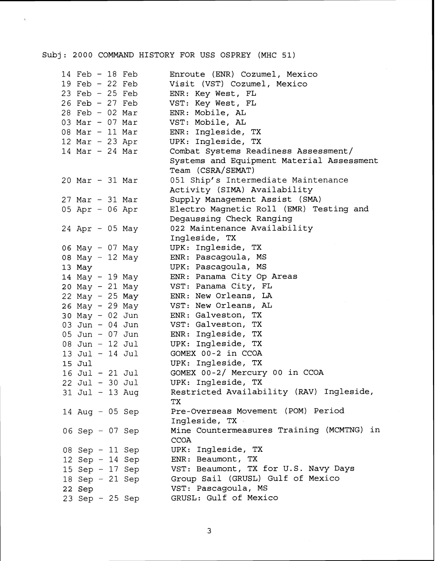## Subj: 2000 COMMAND HISTORY FOR USS OSPREY (MHC 51)

| $14$ Feb - 18 Feb   | Enroute (ENR) Cozumel, Mexico             |
|---------------------|-------------------------------------------|
| 19 Feb $-22$ Feb    | Visit (VST) Cozumel, Mexico               |
| 23 Feb $-$ 25 Feb   | ENR: Key West, FL                         |
| $26$ Feb - $27$ Feb | VST: Key West, FL                         |
| $28$ Feb - 02 Mar   | ENR: Mobile, AL                           |
| 03 Mar - 07 Mar     | VST: Mobile, AL                           |
| 08 Mar - 11 Mar     | ENR: Ingleside, TX                        |
|                     |                                           |
| $12$ Mar - 23 Apr   | UPK: Ingleside, TX                        |
| $14$ Mar - 24 Mar   | Combat Systems Readiness Assessment/      |
|                     | Systems and Equipment Material Assessment |
|                     | Team (CSRA/SEMAT)                         |
| $20$ Mar - 31 Mar   | 051 Ship's Intermediate Maintenance       |
|                     | Activity (SIMA) Availability              |
| $27$ Mar - 31 Mar   | Supply Management Assist (SMA)            |
| 05 Apr - 06 Apr     | Electro Magnetic Roll (EMR) Testing and   |
|                     | Degaussing Check Ranging                  |
|                     |                                           |
| $24$ Apr - 05 May   | 022 Maintenance Availability              |
|                     | Ingleside, TX                             |
| 06 May - 07 May     | UPK: Ingleside, TX                        |
| 08 May - 12 May     | ENR: Pascagoula, MS                       |
| 13 May              | UPK: Pascagoula, MS                       |
| 14 May - 19 May     | ENR: Panama City Op Areas                 |
| 20 May - 21 May     | VST: Panama City, FL                      |
| 22 May - 25 May     | ENR: New Orleans, LA                      |
| 26 May - 29 May     | VST: New Orleans, AL                      |
|                     | ENR: Galveston, TX                        |
| 30 May - 02 Jun     |                                           |
| 03 Jun - 04 Jun     | VST: Galveston, TX                        |
| 05 Jun - 07 Jun     | ENR: Ingleside, TX                        |
| 08 Jun $-12$ Jul    | UPK: Ingleside, TX                        |
| 13 Jul - 14 Jul     | GOMEX 00-2 in CCOA                        |
| 15 Jul              | UPK: Ingleside, TX                        |
| 16 Jul - 21 Jul     | GOMEX 00-2/ Mercury 00 in CCOA            |
| 22 Jul - 30 Jul     | UPK: Ingleside, TX                        |
| 31 Jul - 13 Aug     | Restricted Availability (RAV) Ingleside,  |
|                     | TX                                        |
|                     |                                           |
| 14 Aug $-$ 05 Sep   | Pre-Overseas Movement (POM) Period        |
|                     | Ingleside, TX                             |
| 06 Sep - 07 Sep     | Mine Countermeasures Training (MCMTNG) in |
|                     | <b>CCOA</b>                               |
| 08 Sep - 11 Sep     | UPK: Ingleside, TX                        |
| 12 Sep - 14 Sep     | ENR: Beaumont, TX                         |
| 15 Sep $-$ 17 Sep   | VST: Beaumont, TX for U.S. Navy Days      |
| 18 Sep $-21$ Sep    | Group Sail (GRUSL) Gulf of Mexico         |
|                     |                                           |
| 22 Sep              | VST: Pascagoula, MS                       |
| 23 Sep - 25 Sep     | GRUSL: Gulf of Mexico                     |

 $\overline{3}$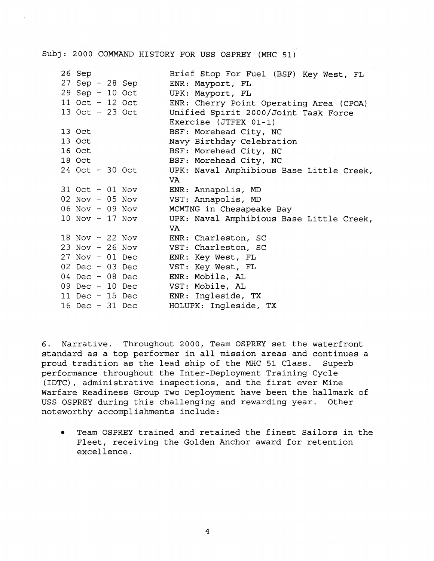## Subj: 2000 COMMAND HISTORY FOR USS OSPREY (MHC 51)

|                                                |  | Brief Stop For Fuel (BSF) Key West, FL                                                                                                                                                                                                                                                                                                            |
|------------------------------------------------|--|---------------------------------------------------------------------------------------------------------------------------------------------------------------------------------------------------------------------------------------------------------------------------------------------------------------------------------------------------|
|                                                |  | ENR: Mayport, FL                                                                                                                                                                                                                                                                                                                                  |
|                                                |  | UPK: Mayport, FL                                                                                                                                                                                                                                                                                                                                  |
|                                                |  | ENR: Cherry Point Operating Area (CPOA)                                                                                                                                                                                                                                                                                                           |
|                                                |  | Unified Spirit 2000/Joint Task Force                                                                                                                                                                                                                                                                                                              |
|                                                |  | Exercise $(JTFEX 01-1)$                                                                                                                                                                                                                                                                                                                           |
|                                                |  | BSF: Morehead City, NC                                                                                                                                                                                                                                                                                                                            |
|                                                |  | Navy Birthday Celebration                                                                                                                                                                                                                                                                                                                         |
|                                                |  | BSF: Morehead City, NC                                                                                                                                                                                                                                                                                                                            |
|                                                |  | BSF: Morehead City, NC                                                                                                                                                                                                                                                                                                                            |
|                                                |  | UPK: Naval Amphibious Base Little Creek,                                                                                                                                                                                                                                                                                                          |
|                                                |  | VA.                                                                                                                                                                                                                                                                                                                                               |
|                                                |  | ENR: Annapolis, MD                                                                                                                                                                                                                                                                                                                                |
|                                                |  | VST: Annapolis, MD                                                                                                                                                                                                                                                                                                                                |
|                                                |  | MCMTNG in Chesapeake Bay                                                                                                                                                                                                                                                                                                                          |
|                                                |  | UPK: Naval Amphibious Base Little Creek,                                                                                                                                                                                                                                                                                                          |
|                                                |  | VA.                                                                                                                                                                                                                                                                                                                                               |
|                                                |  | ENR: Charleston, SC                                                                                                                                                                                                                                                                                                                               |
|                                                |  | VST: Charleston, SC                                                                                                                                                                                                                                                                                                                               |
|                                                |  | ENR: Key West, FL                                                                                                                                                                                                                                                                                                                                 |
|                                                |  | VST: Key West, FL                                                                                                                                                                                                                                                                                                                                 |
|                                                |  | ENR: Mobile, AL                                                                                                                                                                                                                                                                                                                                   |
|                                                |  | VST: Mobile, AL                                                                                                                                                                                                                                                                                                                                   |
|                                                |  | ENR: Ingleside, TX                                                                                                                                                                                                                                                                                                                                |
|                                                |  | HOLUPK: Ingleside, TX                                                                                                                                                                                                                                                                                                                             |
| 26 Sep<br>13 Oct<br>13 Oct<br>16 Oct<br>18 Oct |  | 27 Sep - 28 Sep<br>29 Sep - 10 Oct<br>11 Oct - 12 Oct<br>13 Oct - 23 Oct<br>24 Oct - 30 Oct<br>31 Oct - 01 Nov<br>$02$ Nov - $05$ Nov<br>06 Nov - 09 Nov<br>10 Nov - 17 Nov<br>18 Nov - 22 Nov<br>$23$ Nov - $26$ Nov<br>$27$ Nov - 01 Dec<br>$02$ Dec - 03 Dec<br>04 Dec $-$ 08 Dec<br>09 Dec - 10 Dec<br>11 Dec - 15 Dec<br>$16$ Dec - $31$ Dec |

6. Narrative. Throughout 2000, Team OSPREY set the waterfront standard as a top performer in all mission areas and continues a proud tradition as the lead ship of the MHC 51 Class. Superb performance throughout the Inter-Deployment Training Cycle (IDTC), administrative inspections, and the first ever Mine Warfare Readiness Group Two Deployment have been the hallmark of USS OSPREY during this challenging and rewarding year. Other noteworthy accomplishments include:

Team OSPREY trained and retained the finest Sailors in the  $\bullet$ Fleet, receiving the Golden Anchor award for retention excellence.

 $\overline{4}$